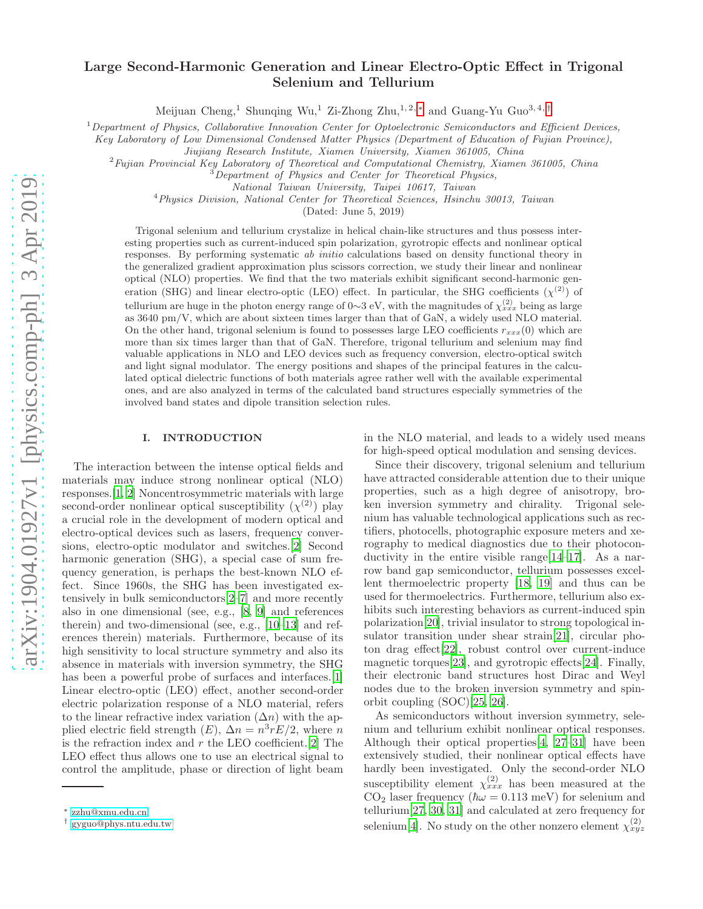# Large Second-Harmonic Generation and Linear Electro-Optic Effect in Trigonal Selenium and Tellurium

Meijuan Cheng,<sup>1</sup> Shunqing Wu,<sup>1</sup> Zi-Zhong Zhu,<sup>1,2,\*</sup> and Guang-Yu Guo<sup>3,4,[†](#page-0-1)</sup>

 $1$ Department of Physics, Collaborative Innovation Center for Optoelectronic Semiconductors and Efficient Devices,

Key Laboratory of Low Dimensional Condensed Matter Physics (Department of Education of Fujian Province),

Jiujiang Research Institute, Xiamen University, Xiamen 361005, China

 $2$ Fujian Provincial Key Laboratory of Theoretical and Computational Chemistry, Xiamen 361005, China

 $3$ Department of Physics and Center for Theoretical Physics,

National Taiwan University, Taipei 10617, Taiwan

<sup>4</sup>Physics Division, National Center for Theoretical Sciences, Hsinchu 30013, Taiwan

(Dated: June 5, 2019)

Trigonal selenium and tellurium crystalize in helical chain-like structures and thus possess interesting properties such as current-induced spin polarization, gyrotropic effects and nonlinear optical responses. By performing systematic ab initio calculations based on density functional theory in the generalized gradient approximation plus scissors correction, we study their linear and nonlinear optical (NLO) properties. We find that the two materials exhibit significant second-harmonic generation (SHG) and linear electro-optic (LEO) effect. In particular, the SHG coefficients  $(\chi^{(2)})$  of tellurium are huge in the photon energy range of 0∼3 eV, with the magnitudes of  $\chi_{xxx}^{(2)}$  being as large as 3640 pm/V, which are about sixteen times larger than that of GaN, a widely used NLO material. On the other hand, trigonal selenium is found to possesses large LEO coefficients  $r_{xx}(0)$  which are more than six times larger than that of GaN. Therefore, trigonal tellurium and selenium may find valuable applications in NLO and LEO devices such as frequency conversion, electro-optical switch and light signal modulator. The energy positions and shapes of the principal features in the calculated optical dielectric functions of both materials agree rather well with the available experimental ones, and are also analyzed in terms of the calculated band structures especially symmetries of the involved band states and dipole transition selection rules.

### I. INTRODUCTION

The interaction between the intense optical fields and materials may induce strong nonlinear optical (NLO) responses.[\[1,](#page-9-0) [2\]](#page-9-1) Noncentrosymmetric materials with large second-order nonlinear optical susceptibility  $(\chi^{(2)})$  play a crucial role in the development of modern optical and electro-optical devices such as lasers, frequency conversions, electro-optic modulator and switches.[\[2\]](#page-9-1) Second harmonic generation (SHG), a special case of sum frequency generation, is perhaps the best-known NLO effect. Since 1960s, the SHG has been investigated extensively in bulk semiconductors[\[2](#page-9-1)[–7\]](#page-10-0) and more recently also in one dimensional (see, e.g., [\[8,](#page-10-1) [9](#page-10-2)] and references therein) and two-dimensional (see, e.g., [\[10](#page-10-3)[–13](#page-10-4)] and references therein) materials. Furthermore, because of its high sensitivity to local structure symmetry and also its absence in materials with inversion symmetry, the SHG has been a powerful probe of surfaces and interfaces. [\[1\]](#page-9-0) Linear electro-optic (LEO) effect, another second-order electric polarization response of a NLO material, refers to the linear refractive index variation  $(\Delta n)$  with the applied electric field strength  $(E)$ ,  $\Delta n = n^3 r E/2$ , where n is the refraction index and  $r$  the LEO coefficient. [\[2\]](#page-9-1) The LEO effect thus allows one to use an electrical signal to control the amplitude, phase or direction of light beam

in the NLO material, and leads to a widely used means for high-speed optical modulation and sensing devices.

Since their discovery, trigonal selenium and tellurium have attracted considerable attention due to their unique properties, such as a high degree of anisotropy, broken inversion symmetry and chirality. Trigonal selenium has valuable technological applications such as rectifiers, photocells, photographic exposure meters and xerography to medical diagnostics due to their photoconductivity in the entire visible range  $[14-17]$  $[14-17]$ . As a narrow band gap semiconductor, tellurium possesses excellent thermoelectric property [\[18](#page-10-7), [19](#page-10-8)] and thus can be used for thermoelectrics. Furthermore, tellurium also exhibits such interesting behaviors as current-induced spin polarization[\[20\]](#page-10-9), trivial insulator to strong topological insulator transition under shear strain[\[21](#page-10-10)], circular photon drag effect[\[22\]](#page-10-11), robust control over current-induce magnetic torques[\[23](#page-10-12)], and gyrotropic effects[\[24\]](#page-10-13). Finally, their electronic band structures host Dirac and Weyl nodes due to the broken inversion symmetry and spinorbit coupling (SOC)[\[25](#page-10-14), [26](#page-10-15)].

As semiconductors without inversion symmetry, selenium and tellurium exhibit nonlinear optical responses. Although their optical properties[\[4](#page-9-2), [27](#page-10-16)[–31\]](#page-10-17) have been extensively studied, their nonlinear optical effects have hardly been investigated. Only the second-order NLO susceptibility element  $\chi_{xxx}^{(2)}$  has been measured at the  $CO<sub>2</sub>$  laser frequency ( $\hbar \omega = 0.113$  meV) for selenium and tellurium[\[27,](#page-10-16) [30](#page-10-18), [31](#page-10-17)] and calculated at zero frequency for selenium[\[4\]](#page-9-2). No study on the other nonzero element  $\chi_{xyz}^{(2)}$ 

<span id="page-0-0"></span><sup>∗</sup> [zzhu@xmu.edu.cn](mailto:zzhu@xmu.edu.cn)

<span id="page-0-1"></span><sup>†</sup> [gyguo@phys.ntu.edu.tw](mailto:gyguo@phys.ntu.edu.tw)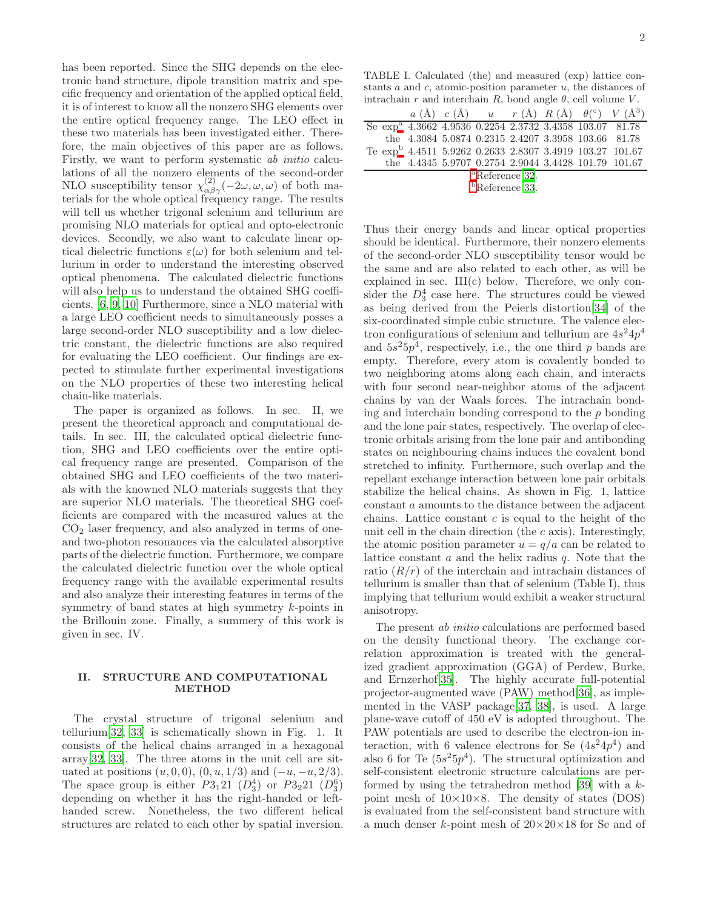has been reported. Since the SHG depends on the electronic band structure, dipole transition matrix and specific frequency and orientation of the applied optical field, it is of interest to know all the nonzero SHG elements over the entire optical frequency range. The LEO effect in these two materials has been investigated either. Therefore, the main objectives of this paper are as follows. Firstly, we want to perform systematic ab initio calculations of all the nonzero elements of the second-order NLO susceptibility tensor  $\chi^{(2)}_{\alpha\beta\gamma}(-2\omega,\omega,\omega)$  of both materials for the whole optical frequency range. The results will tell us whether trigonal selenium and tellurium are promising NLO materials for optical and opto-electronic devices. Secondly, we also want to calculate linear optical dielectric functions  $\varepsilon(\omega)$  for both selenium and tellurium in order to understand the interesting observed optical phenomena. The calculated dielectric functions will also help us to understand the obtained SHG coefficients. [\[6](#page-10-19), [9,](#page-10-2) [10\]](#page-10-3) Furthermore, since a NLO material with a large LEO coefficient needs to simultaneously posses a large second-order NLO susceptibility and a low dielectric constant, the dielectric functions are also required for evaluating the LEO coefficient. Our findings are expected to stimulate further experimental investigations on the NLO properties of these two interesting helical chain-like materials.

The paper is organized as follows. In sec. II, we present the theoretical approach and computational details. In sec. III, the calculated optical dielectric function, SHG and LEO coefficients over the entire optical frequency range are presented. Comparison of the obtained SHG and LEO coefficients of the two materials with the knowned NLO materials suggests that they are superior NLO materials. The theoretical SHG coefficients are compared with the measured values at the  $CO<sub>2</sub>$  laser frequency, and also analyzed in terms of oneand two-photon resonances via the calculated absorptive parts of the dielectric function. Furthermore, we compare the calculated dielectric function over the whole optical frequency range with the available experimental results and also analyze their interesting features in terms of the symmetry of band states at high symmetry k-points in the Brillouin zone. Finally, a summery of this work is given in sec. IV.

# II. STRUCTURE AND COMPUTATIONAL METHOD

The crystal structure of trigonal selenium and tellurium[\[32,](#page-10-20) [33\]](#page-10-21) is schematically shown in Fig. 1. It consists of the helical chains arranged in a hexagonal array[\[32,](#page-10-20) [33](#page-10-21)]. The three atoms in the unit cell are situated at positions  $(u, 0, 0), (0, u, 1/3)$  and  $(-u, -u, 2/3)$ . The space group is either  $P3_121 (D_3^4)$  or  $P3_221 (D_3^6)$ depending on whether it has the right-handed or lefthanded screw. Nonetheless, the two different helical structures are related to each other by spatial inversion.

TABLE I. Calculated (the) and measured (exp) lattice constants a and c, atomic-position parameter u, the distances of intrachain r and interchain R, bond angle  $\theta$ , cell volume V.

|                            |  |  |  |  |  |                                                                     | $a(\mathring{A})$ $c(\mathring{A})$ $u$ $r(\mathring{A})$ $R(\mathring{A})$ $\theta$ <sup>(°)</sup> $V(\mathring{A}^3)$ |
|----------------------------|--|--|--|--|--|---------------------------------------------------------------------|-------------------------------------------------------------------------------------------------------------------------|
|                            |  |  |  |  |  | Se exp <sup>a</sup> 4.3662 4.9536 0.2254 2.3732 3.4358 103.07 81.78 |                                                                                                                         |
|                            |  |  |  |  |  | the 4.3084 5.0874 0.2315 2.4207 3.3958 103.66 81.78                 |                                                                                                                         |
|                            |  |  |  |  |  |                                                                     | Te exp <sup>b</sup> 4.4511 5.9262 0.2633 2.8307 3.4919 103.27 101.67                                                    |
|                            |  |  |  |  |  |                                                                     | the 4.4345 5.9707 0.2754 2.9044 3.4428 101.79 101.67                                                                    |
| <sup>a</sup> Reference 32. |  |  |  |  |  |                                                                     |                                                                                                                         |
|                            |  |  |  |  |  |                                                                     |                                                                                                                         |

<sup>b</sup>Reference [33](#page-10-21).

Thus their energy bands and linear optical properties should be identical. Furthermore, their nonzero elements of the second-order NLO susceptibility tensor would be the same and are also related to each other, as will be explained in sec. III(c) below. Therefore, we only consider the  $D_3^4$  case here. The structures could be viewed as being derived from the Peierls distortion[\[34\]](#page-10-22) of the six-coordinated simple cubic structure. The valence electron configurations of selenium and tellurium are  $4s^24p^4$ and  $5s^25p^4$ , respectively, i.e., the one third p bands are empty. Therefore, every atom is covalently bonded to two neighboring atoms along each chain, and interacts with four second near-neighbor atoms of the adjacent chains by van der Waals forces. The intrachain bonding and interchain bonding correspond to the  $p$  bonding and the lone pair states, respectively. The overlap of electronic orbitals arising from the lone pair and antibonding states on neighbouring chains induces the covalent bond stretched to infinity. Furthermore, such overlap and the repellant exchange interaction between lone pair orbitals stabilize the helical chains. As shown in Fig. 1, lattice constant a amounts to the distance between the adjacent chains. Lattice constant  $c$  is equal to the height of the unit cell in the chain direction (the  $c$  axis). Interestingly, the atomic position parameter  $u = q/a$  can be related to lattice constant  $a$  and the helix radius  $q$ . Note that the ratio  $(R/r)$  of the interchain and intrachain distances of tellurium is smaller than that of selenium (Table I), thus implying that tellurium would exhibit a weaker structural anisotropy.

The present ab initio calculations are performed based on the density functional theory. The exchange correlation approximation is treated with the generalized gradient approximation (GGA) of Perdew, Burke, and Ernzerhof[\[35\]](#page-10-23). The highly accurate full-potential projector-augmented wave (PAW) method[\[36](#page-10-24)], as implemented in the VASP package[\[37](#page-10-25), [38](#page-10-26)], is used. A large plane-wave cutoff of 450 eV is adopted throughout. The PAW potentials are used to describe the electron-ion interaction, with 6 valence electrons for Se  $(4s^24p^4)$  and also 6 for Te  $(5s^25p^4)$ . The structural optimization and self-consistent electronic structure calculations are per-formed by using the tetrahedron method [\[39\]](#page-10-27) with a  $k$ point mesh of  $10\times10\times8$ . The density of states (DOS) is evaluated from the self-consistent band structure with a much denser k-point mesh of  $20\times20\times18$  for Se and of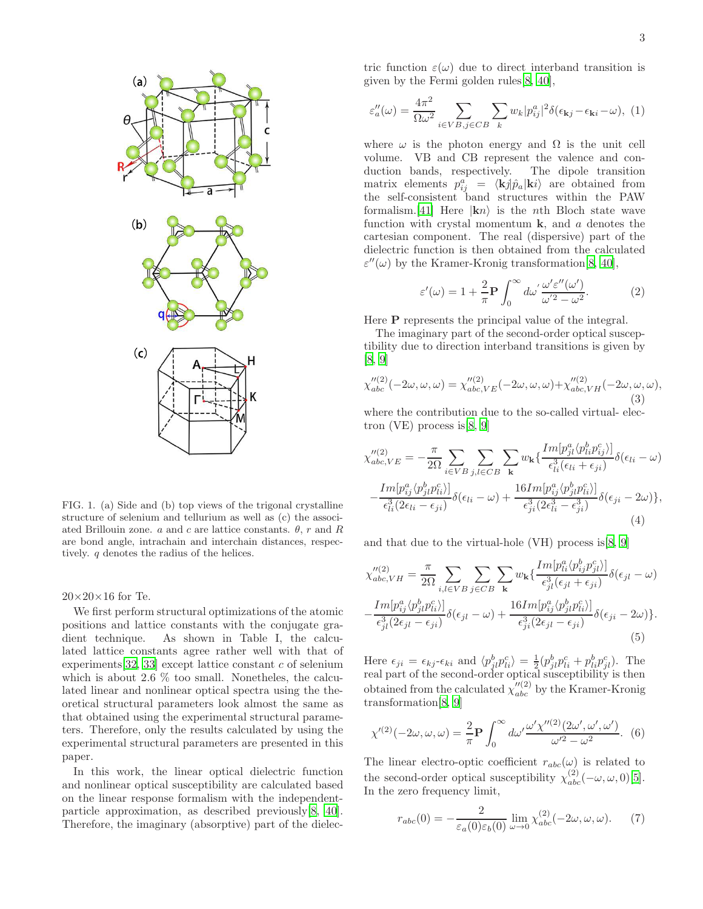

FIG. 1. (a) Side and (b) top views of the trigonal crystalline structure of selenium and tellurium as well as (c) the associated Brillouin zone. a and c are lattice constants.  $\theta$ , r and R are bond angle, intrachain and interchain distances, respectively. q denotes the radius of the helices.

 $20\times20\times16$  for Te.

We first perform structural optimizations of the atomic positions and lattice constants with the conjugate gradient technique. As shown in Table I, the calculated lattice constants agree rather well with that of experiments  $[32, 33]$  $[32, 33]$  $[32, 33]$  $[32, 33]$  except lattice constant c of selenium which is about 2.6  $\%$  too small. Nonetheles, the calculated linear and nonlinear optical spectra using the theoretical structural parameters look almost the same as that obtained using the experimental structural parameters. Therefore, only the results calculated by using the experimental structural parameters are presented in this paper.

In this work, the linear optical dielectric function and nonlinear optical susceptibility are calculated based on the linear response formalism with the independentparticle approximation, as described previously[\[8,](#page-10-1) [40\]](#page-10-28). Therefore, the imaginary (absorptive) part of the dielec-

tric function  $\varepsilon(\omega)$  due to direct interband transition is given by the Fermi golden rules[\[8](#page-10-1), [40](#page-10-28)],

$$
\varepsilon_{a}^{"}(\omega) = \frac{4\pi^2}{\Omega\omega^2} \sum_{i \in VB, j \in CB} \sum_{k} w_k |p_{ij}^{a}|^2 \delta(\epsilon_{\mathbf{k}j} - \epsilon_{\mathbf{k}i} - \omega), \tag{1}
$$

where  $\omega$  is the photon energy and  $\Omega$  is the unit cell volume. VB and CB represent the valence and conduction bands, respectively. The dipole transition matrix elements  $p_{ij}^a = \langle \mathbf{k} j | \hat{p}_a | \mathbf{k} i \rangle$  are obtained from the self-consistent band structures within the PAW formalism.[\[41\]](#page-10-29) Here  $|\mathbf{k} n\rangle$  is the nth Bloch state wave function with crystal momentum  $\bf{k}$ , and a denotes the cartesian component. The real (dispersive) part of the dielectric function is then obtained from the calculated  $\varepsilon''(\omega)$  by the Kramer-Kronig transformation[\[8,](#page-10-1) [40\]](#page-10-28),

$$
\varepsilon'(\omega) = 1 + \frac{2}{\pi} \mathbf{P} \int_0^\infty d\omega' \frac{\omega' \varepsilon''(\omega')}{\omega'^2 - \omega^2}.
$$
 (2)

Here P represents the principal value of the integral.

The imaginary part of the second-order optical susceptibility due to direction interband transitions is given by [\[8,](#page-10-1) [9\]](#page-10-2)

$$
\chi_{abc}^{\prime\prime(2)}(-2\omega,\omega,\omega) = \chi_{abc,VE}^{\prime\prime(2)}(-2\omega,\omega,\omega) + \chi_{abc,VH}^{\prime\prime(2)}(-2\omega,\omega,\omega),
$$
\n(3)

where the contribution due to the so-called virtual- electron (VE) process is[\[8](#page-10-1), [9](#page-10-2)]

$$
\chi_{abc,VE}^{"(2)} = -\frac{\pi}{2\Omega} \sum_{i \in VB} \sum_{j,l \in CB} \sum_{\mathbf{k}} w_{\mathbf{k}} \left\{ \frac{Im[p_{jl}^a \langle p_{li}^b p_{ij}^c) ]}{\epsilon_{li}^3 (\epsilon_{li} + \epsilon_{ji})} \delta(\epsilon_{li} - \omega) \right. \n- \frac{Im[p_{ij}^a \langle p_{jl}^b p_{li}^c] ]}{\epsilon_{li}^3 (2\epsilon_{li} - \epsilon_{ji})} \delta(\epsilon_{li} - \omega) + \frac{16Im[p_{ij}^a \langle p_{jl}^b p_{li}^c] }{\epsilon_{ji}^3 (2\epsilon_{li}^3 - \epsilon_{ji}^3)} \delta(\epsilon_{ji} - 2\omega) \right\},
$$
\n(4)

and that due to the virtual-hole (VH) process is  $[8, 9]$  $[8, 9]$ 

$$
\chi_{abc,VH}^{\prime\prime(2)} = \frac{\pi}{2\Omega} \sum_{i,l \in VB} \sum_{j \in CB} \sum_{\mathbf{k}} w_{\mathbf{k}} \left\{ \frac{Im[p_{li}^a \langle p_{ij}^b p_{jl}^c \rangle]}{\epsilon_{jl}^3 (\epsilon_{jl} + \epsilon_{ji})} \delta(\epsilon_{jl} - \omega) \right. \\ - \frac{Im[p_{ij}^a \langle p_{jl}^b p_{li}^c \rangle]}{\epsilon_{jl}^3 (2\epsilon_{jl} - \epsilon_{ji})} \delta(\epsilon_{jl} - \omega) + \frac{16Im[p_{ij}^a \langle p_{jl}^b p_{li}^c \rangle]}{\epsilon_{ji}^3 (2\epsilon_{jl} - \epsilon_{ji})} \delta(\epsilon_{ji} - 2\omega) \right\}.
$$
\n(5)

Here  $\epsilon_{ji} = \epsilon_{kj} \text{-} \epsilon_{ki}$  and  $\langle p_{jl}^b p_{li}^c \rangle = \frac{1}{2} (p_{jl}^b p_{li}^c + p_{li}^b p_{jl}^c)$ . The real part of the second-order optical susceptibility is then obtained from the calculated  $\chi''^{(2)}_{abc}$  by the Kramer-Kronig transformation[\[8,](#page-10-1) [9](#page-10-2)]

$$
\chi^{\prime\prime\prime}(2)(-2\omega,\omega,\omega) = \frac{2}{\pi} \mathbf{P} \int_0^\infty d\omega' \frac{\omega' \chi^{\prime\prime\prime}(2)(2\omega',\omega',\omega')}{\omega^{\prime 2} - \omega^2} .
$$
 (6)

The linear electro-optic coefficient  $r_{abc}(\omega)$  is related to the second-order optical susceptibility  $\chi_{abc}^{(2)}(-\omega,\omega,0)$ [\[5\]](#page-9-3). In the zero frequency limit,

$$
r_{abc}(0) = -\frac{2}{\varepsilon_a(0)\varepsilon_b(0)} \lim_{\omega \to 0} \chi_{abc}^{(2)}(-2\omega, \omega, \omega). \tag{7}
$$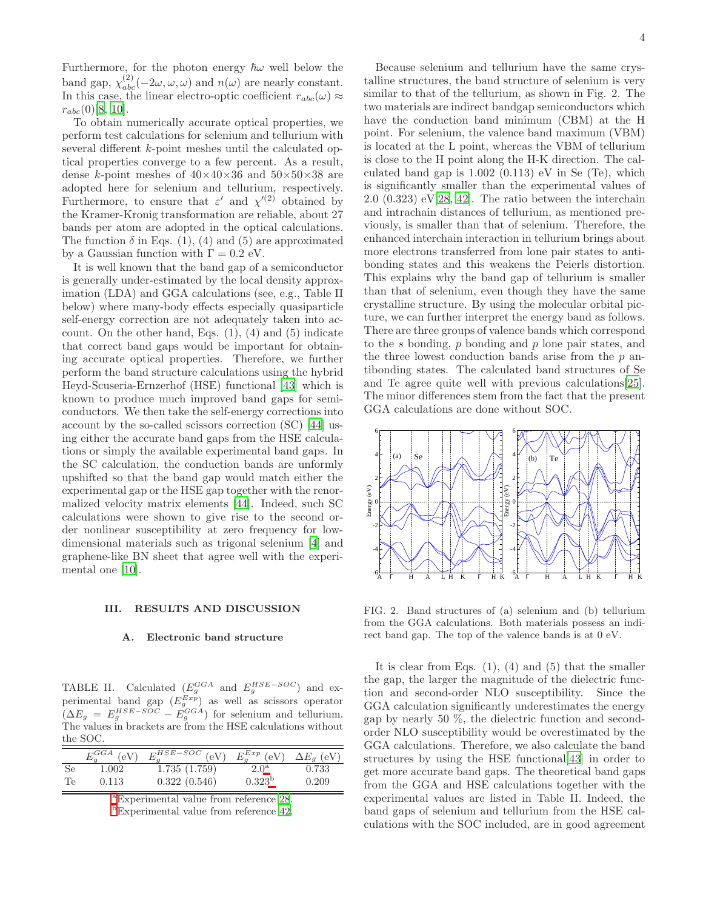Furthermore, for the photon energy  $\hbar\omega$  well below the band gap,  $\chi_{abc}^{(2)}(-2\omega,\omega,\omega)$  and  $n(\omega)$  are nearly constant. In this case, the linear electro-optic coefficient  $r_{abc}(\omega) \approx$  $r_{abc}(0)[8, 10].$  $r_{abc}(0)[8, 10].$  $r_{abc}(0)[8, 10].$  $r_{abc}(0)[8, 10].$ 

To obtain numerically accurate optical properties, we perform test calculations for selenium and tellurium with several different k-point meshes until the calculated optical properties converge to a few percent. As a result, dense k-point meshes of  $40\times40\times36$  and  $50\times50\times38$  are adopted here for selenium and tellurium, respectively. Furthermore, to ensure that  $\varepsilon'$  and  $\chi'^{(2)}$  obtained by the Kramer-Kronig transformation are reliable, about 27 bands per atom are adopted in the optical calculations. The function  $\delta$  in Eqs. (1), (4) and (5) are approximated by a Gaussian function with  $\Gamma = 0.2$  eV.

It is well known that the band gap of a semiconductor is generally under-estimated by the local density approximation (LDA) and GGA calculations (see, e.g., Table II below) where many-body effects especially quasiparticle self-energy correction are not adequately taken into account. On the other hand, Eqs.  $(1)$ ,  $(4)$  and  $(5)$  indicate that correct band gaps would be important for obtaining accurate optical properties. Therefore, we further perform the band structure calculations using the hybrid Heyd-Scuseria-Ernzerhof (HSE) functional [\[43\]](#page-10-30) which is known to produce much improved band gaps for semiconductors. We then take the self-energy corrections into account by the so-called scissors correction (SC) [\[44](#page-10-31)] using either the accurate band gaps from the HSE calculations or simply the available experimental band gaps. In the SC calculation, the conduction bands are unformly upshifted so that the band gap would match either the experimental gap or the HSE gap together with the renormalized velocity matrix elements [\[44\]](#page-10-31). Indeed, such SC calculations were shown to give rise to the second order nonlinear susceptibility at zero frequency for lowdimensional materials such as trigonal selenium [\[4](#page-9-2)] and graphene-like BN sheet that agree well with the experimental one [\[10\]](#page-10-3).

### III. RESULTS AND DISCUSSION

# A. Electronic band structure

TABLE II. Calculated  $(E_g^{GGA}$  and  $E_g^{HSE-SOC}$  and experimental band gap  $(E_g^{Exp})$  as well as scissors operator  $(\Delta E_g = E_g^{HSE-SOC} - E_g^{GGA})$  for selenium and tellurium. The values in brackets are from the HSE calculations without the SOC.

|     | $E_a^{GGA}$ (eV) | $E_q^{HSE-SOC}$ (eV) | $E_q^{Exp}$ (eV) $\Delta E_q$ (eV) |       |
|-----|------------------|----------------------|------------------------------------|-------|
| -Se | 1.002            | 1.735(1.759)         | 2.0 <sup>a</sup>                   | 0.733 |
| Te  | 0.113            | 0.322(0.546)         | $0.323^{b}$                        | 0.209 |

<sup>a</sup>Experimental value from reference [28.](#page-10-32)

Because selenium and tellurium have the same crystalline structures, the band structure of selenium is very similar to that of the tellurium, as shown in Fig. 2. The two materials are indirect bandgap semiconductors which have the conduction band minimum (CBM) at the H point. For selenium, the valence band maximum (VBM) is located at the L point, whereas the VBM of tellurium is close to the H point along the H-K direction. The calculated band gap is  $1.002$   $(0.113)$  eV in Se  $(Te)$ , which is significantly smaller than the experimental values of  $2.0$   $(0.323)$  eV $[28, 42]$  $[28, 42]$ . The ratio between the interchain and intrachain distances of tellurium, as mentioned previously, is smaller than that of selenium. Therefore, the enhanced interchain interaction in tellurium brings about more electrons transferred from lone pair states to antibonding states and this weakens the Peierls distortion. This explains why the band gap of tellurium is smaller than that of selenium, even though they have the same crystalline structure. By using the molecular orbital picture, we can further interpret the energy band as follows. There are three groups of valence bands which correspond to the s bonding,  $p$  bonding and  $p$  lone pair states, and the three lowest conduction bands arise from the  $p$  antibonding states. The calculated band structures of Se and Te agree quite well with previous calculations[\[25\]](#page-10-14). The minor differences stem from the fact that the present GGA calculations are done without SOC.



FIG. 2. Band structures of (a) selenium and (b) tellurium from the GGA calculations. Both materials possess an indirect band gap. The top of the valence bands is at 0 eV.

It is clear from Eqs.  $(1)$ ,  $(4)$  and  $(5)$  that the smaller the gap, the larger the magnitude of the dielectric function and second-order NLO susceptibility. Since the GGA calculation significantly underestimates the energy gap by nearly 50 %, the dielectric function and secondorder NLO susceptibility would be overestimated by the GGA calculations. Therefore, we also calculate the band structures by using the HSE functional[\[43\]](#page-10-30) in order to get more accurate band gaps. The theoretical band gaps from the GGA and HSE calculations together with the experimental values are listed in Table II. Indeed, the band gaps of selenium and tellurium from the HSE calculations with the SOC included, are in good agreement

<sup>b</sup>Experimental value from reference [42.](#page-10-33)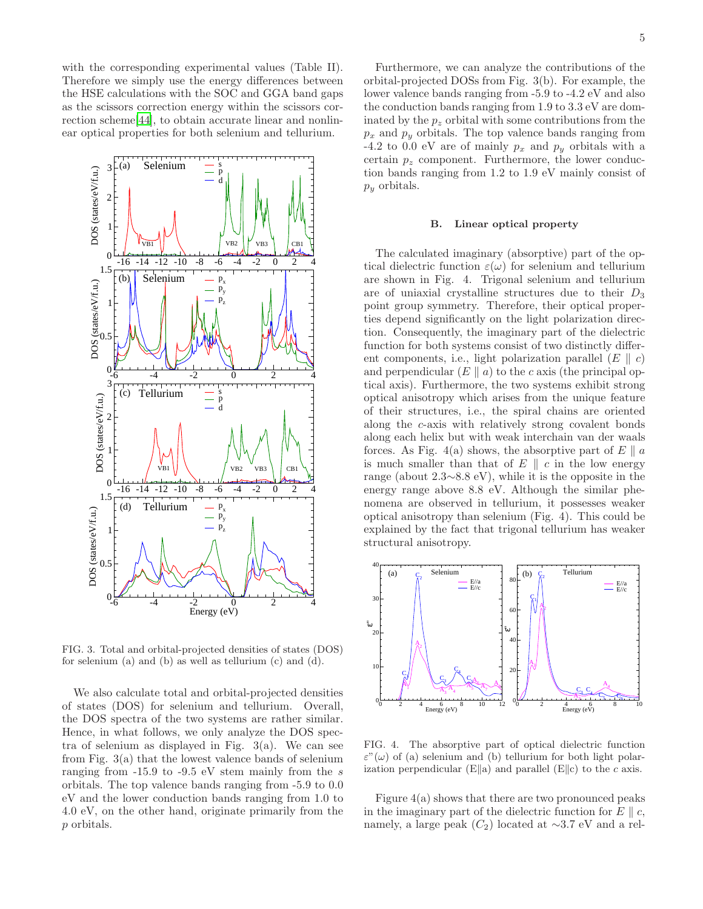with the corresponding experimental values (Table II). Therefore we simply use the energy differences between the HSE calculations with the SOC and GGA band gaps as the scissors correction energy within the scissors correction scheme[\[44\]](#page-10-31), to obtain accurate linear and nonlinear optical properties for both selenium and tellurium.



FIG. 3. Total and orbital-projected densities of states (DOS) for selenium (a) and (b) as well as tellurium (c) and (d).

We also calculate total and orbital-projected densities of states (DOS) for selenium and tellurium. Overall, the DOS spectra of the two systems are rather similar. Hence, in what follows, we only analyze the DOS spectra of selenium as displayed in Fig.  $3(a)$ . We can see from Fig. 3(a) that the lowest valence bands of selenium ranging from -15.9 to -9.5 eV stem mainly from the s orbitals. The top valence bands ranging from -5.9 to 0.0 eV and the lower conduction bands ranging from 1.0 to 4.0 eV, on the other hand, originate primarily from the p orbitals.

Furthermore, we can analyze the contributions of the orbital-projected DOSs from Fig. 3(b). For example, the lower valence bands ranging from -5.9 to -4.2 eV and also the conduction bands ranging from 1.9 to 3.3 eV are dominated by the  $p<sub>z</sub>$  orbital with some contributions from the  $p_x$  and  $p_y$  orbitals. The top valence bands ranging from -4.2 to 0.0 eV are of mainly  $p_x$  and  $p_y$  orbitals with a certain  $p_z$  component. Furthermore, the lower conduction bands ranging from 1.2 to 1.9 eV mainly consist of  $p_y$  orbitals.

#### B. Linear optical property

The calculated imaginary (absorptive) part of the optical dielectric function  $\varepsilon(\omega)$  for selenium and tellurium are shown in Fig. 4. Trigonal selenium and tellurium are of uniaxial crystalline structures due to their  $D_3$ point group symmetry. Therefore, their optical properties depend significantly on the light polarization direction. Consequently, the imaginary part of the dielectric function for both systems consist of two distinctly different components, i.e., light polarization parallel  $(E \parallel c)$ and perpendicular  $(E \parallel a)$  to the c axis (the principal optical axis). Furthermore, the two systems exhibit strong optical anisotropy which arises from the unique feature of their structures, i.e., the spiral chains are oriented along the c-axis with relatively strong covalent bonds along each helix but with weak interchain van der waals forces. As Fig. 4(a) shows, the absorptive part of  $E \parallel a$ is much smaller than that of  $E \parallel c$  in the low energy range (about 2.3∼8.8 eV), while it is the opposite in the energy range above 8.8 eV. Although the similar phenomena are observed in tellurium, it possesses weaker optical anisotropy than selenium (Fig. 4). This could be explained by the fact that trigonal tellurium has weaker structural anisotropy.



FIG. 4. The absorptive part of optical dielectric function  $\varepsilon''(\omega)$  of (a) selenium and (b) tellurium for both light polarization perpendicular (E||a) and parallel (E||c) to the c axis.

Figure 4(a) shows that there are two pronounced peaks in the imaginary part of the dielectric function for  $E \parallel c$ , namely, a large peak  $(C_2)$  located at ~3.7 eV and a rel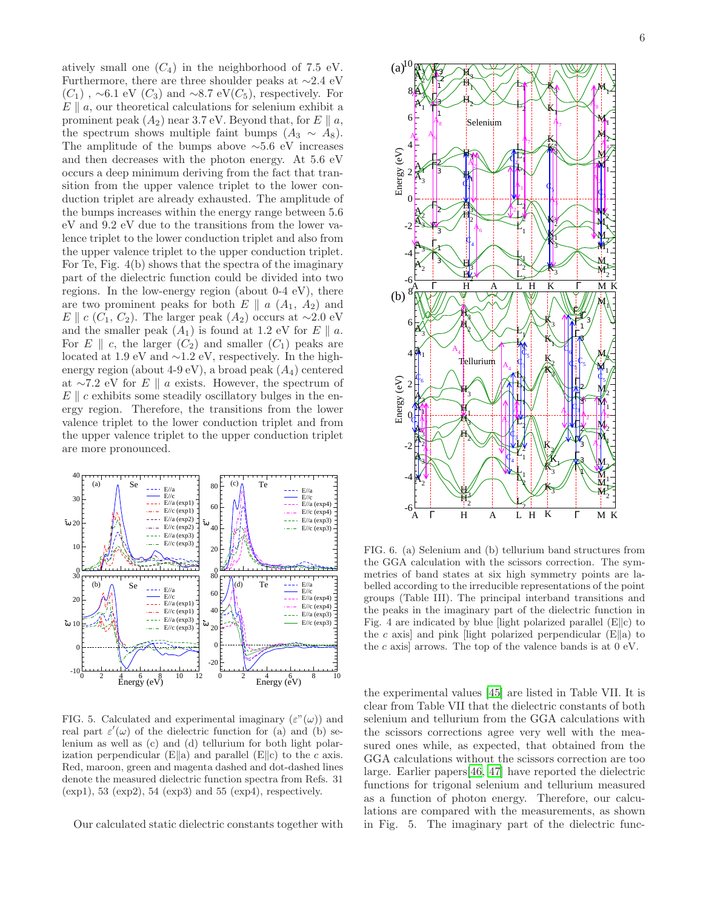atively small one  $(C_4)$  in the neighborhood of 7.5 eV. Furthermore, there are three shoulder peaks at ∼2.4 eV  $(C_1)$ , ~6.1 eV  $(C_3)$  and ~8.7 eV $(C_5)$ , respectively. For  $E \parallel a$ , our theoretical calculations for selenium exhibit a prominent peak  $(A_2)$  near 3.7 eV. Beyond that, for E  $\parallel a$ , the spectrum shows multiple faint bumps  $(A_3 \sim A_8)$ . The amplitude of the bumps above  $~\sim 5.6$  eV increases and then decreases with the photon energy. At 5.6 eV occurs a deep minimum deriving from the fact that transition from the upper valence triplet to the lower conduction triplet are already exhausted. The amplitude of the bumps increases within the energy range between 5.6 eV and 9.2 eV due to the transitions from the lower valence triplet to the lower conduction triplet and also from the upper valence triplet to the upper conduction triplet. For Te, Fig. 4(b) shows that the spectra of the imaginary part of the dielectric function could be divided into two regions. In the low-energy region (about 0-4 eV), there are two prominent peaks for both  $E \parallel a (A_1, A_2)$  and E  $c$  (C<sub>1</sub>, C<sub>2</sub>). The larger peak (A<sub>2</sub>) occurs at ∼2.0 eV and the smaller peak  $(A_1)$  is found at 1.2 eV for E  $\parallel$  a. For E  $\parallel$  c, the larger  $(C_2)$  and smaller  $(C_1)$  peaks are located at 1.9 eV and ∼1.2 eV, respectively. In the highenergy region (about  $4-9$  eV), a broad peak  $(A_4)$  centered at ∼7.2 eV for  $E \parallel a$  exists. However, the spectrum of  $E \parallel c$  exhibits some steadily oscillatory bulges in the energy region. Therefore, the transitions from the lower valence triplet to the lower conduction triplet and from the upper valence triplet to the upper conduction triplet are more pronounced.



FIG. 5. Calculated and experimental imaginary  $(\varepsilon^{\prime\prime}(\omega))$  and real part  $\varepsilon'(\omega)$  of the dielectric function for (a) and (b) selenium as well as (c) and (d) tellurium for both light polarization perpendicular (E||a) and parallel (E||c) to the c axis. Red, maroon, green and magenta dashed and dot-dashed lines denote the measured dielectric function spectra from Refs. 31 (exp1), 53 (exp2), 54 (exp3) and 55 (exp4), respectively.

Our calculated static dielectric constants together with



FIG. 6. (a) Selenium and (b) tellurium band structures from the GGA calculation with the scissors correction. The symmetries of band states at six high symmetry points are labelled according to the irreducible representations of the point groups (Table III). The principal interband transitions and the peaks in the imaginary part of the dielectric function in Fig. 4 are indicated by blue [light polarized parallel  $(E||c)$  to the c axis] and pink [light polarized perpendicular  $(E\|a)$  to the c axis arrows. The top of the valence bands is at  $0 \text{ eV}$ .

the experimental values [\[45\]](#page-11-0) are listed in Table VII. It is clear from Table VII that the dielectric constants of both selenium and tellurium from the GGA calculations with the scissors corrections agree very well with the measured ones while, as expected, that obtained from the GGA calculations without the scissors correction are too large. Earlier papers[\[46,](#page-11-1) [47\]](#page-11-2) have reported the dielectric functions for trigonal selenium and tellurium measured as a function of photon energy. Therefore, our calculations are compared with the measurements, as shown in Fig. 5. The imaginary part of the dielectric func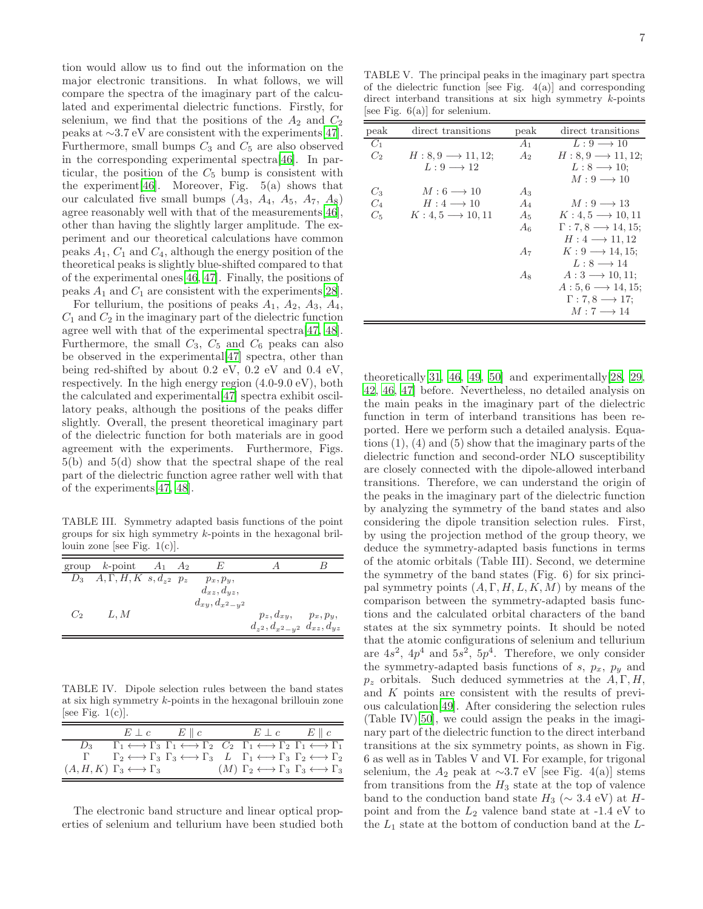tion would allow us to find out the information on the major electronic transitions. In what follows, we will compare the spectra of the imaginary part of the calculated and experimental dielectric functions. Firstly, for selenium, we find that the positions of the  $A_2$  and  $C_2$ peaks at ∼3.7 eV are consistent with the experiments[\[47\]](#page-11-2). Furthermore, small bumps  $C_3$  and  $C_5$  are also observed in the corresponding experimental spectra[\[46\]](#page-11-1). In particular, the position of the  $C_5$  bump is consistent with the experiment [\[46\]](#page-11-1). Moreover, Fig.  $5(a)$  shows that our calculated five small bumps  $(A_3, A_4, A_5, A_7, A_8)$ agree reasonably well with that of the measurements[\[46\]](#page-11-1), other than having the slightly larger amplitude. The experiment and our theoretical calculations have common peaks  $A_1$ ,  $C_1$  and  $C_4$ , although the energy position of the theoretical peaks is slightly blue-shifted compared to that of the experimental ones[\[46](#page-11-1), [47\]](#page-11-2). Finally, the positions of peaks  $A_1$  and  $C_1$  are consistent with the experiments [\[28\]](#page-10-32).

For tellurium, the positions of peaks  $A_1$ ,  $A_2$ ,  $A_3$ ,  $A_4$ ,  $C_1$  and  $C_2$  in the imaginary part of the dielectric function agree well with that of the experimental spectra[\[47,](#page-11-2) [48\]](#page-11-3). Furthermore, the small  $C_3$ ,  $C_5$  and  $C_6$  peaks can also be observed in the experimental[\[47](#page-11-2)] spectra, other than being red-shifted by about 0.2 eV, 0.2 eV and 0.4 eV, respectively. In the high energy region (4.0-9.0 eV), both the calculated and experimental[\[47\]](#page-11-2) spectra exhibit oscillatory peaks, although the positions of the peaks differ slightly. Overall, the present theoretical imaginary part of the dielectric function for both materials are in good agreement with the experiments. Furthermore, Figs. 5(b) and 5(d) show that the spectral shape of the real part of the dielectric function agree rather well with that of the experiments[\[47,](#page-11-2) [48\]](#page-11-3).

TABLE III. Symmetry adapted basis functions of the point groups for six high symmetry k-points in the hexagonal brillouin zone [see Fig.  $1(c)$ ].

| group k-point $A_1$ $A_2$                  |  | E                                          |                                         |  |
|--------------------------------------------|--|--------------------------------------------|-----------------------------------------|--|
| $D_3$ $A, \Gamma, H, K$ $s, d_{z^2}$ $p_z$ |  | $p_x, p_y,$                                |                                         |  |
|                                            |  | $d_{xz}, d_{yz},$<br>$d_{xy}, d_{x^2-y^2}$ |                                         |  |
| $C_2$ $L, M$                               |  |                                            | $p_z, d_{xy}, p_x, p_y,$                |  |
|                                            |  |                                            | $d_{z^2}, d_{x^2-y^2}$ $d_{xz}, d_{yz}$ |  |

TABLE IV. Dipole selection rules between the band states at six high symmetry k-points in the hexagonal brillouin zone [see Fig.  $1(c)$ ].

|       |                                                     | $E \perp c$ $E \parallel c$                                                                                                                                             | $E \perp c$ $E \parallel c$                                                 |  |
|-------|-----------------------------------------------------|-------------------------------------------------------------------------------------------------------------------------------------------------------------------------|-----------------------------------------------------------------------------|--|
| $D_2$ |                                                     | $\Gamma_1 \longleftrightarrow \Gamma_3 \Gamma_1 \longleftrightarrow \Gamma_2 \quad C_2 \Gamma_1 \longleftrightarrow \Gamma_2 \Gamma_1 \longleftrightarrow \Gamma_1$     |                                                                             |  |
|       |                                                     | $\Gamma_2 \longleftrightarrow \Gamma_3 \Gamma_3 \longleftrightarrow \Gamma_3 \quad L \quad \Gamma_1 \longleftrightarrow \Gamma_3 \Gamma_2 \longleftrightarrow \Gamma_2$ |                                                                             |  |
|       | $(A, H, K)$ $\Gamma_3 \longleftrightarrow \Gamma_3$ |                                                                                                                                                                         | $(M)$ $\Gamma_2 \leftrightarrow \Gamma_3 \Gamma_3 \leftrightarrow \Gamma_3$ |  |

The electronic band structure and linear optical properties of selenium and tellurium have been studied both

TABLE V. The principal peaks in the imaginary part spectra of the dielectric function [see Fig.  $4(a)$ ] and corresponding direct interband transitions at six high symmetry  $k$ -points [see Fig.  $6(a)$ ] for selenium.

| peak           | direct transitions                | peak           | direct transitions                    |
|----------------|-----------------------------------|----------------|---------------------------------------|
| $C_1$          |                                   | $A_1$          | $L: 9 \longrightarrow 10$             |
| C <sub>2</sub> | $H: 8, 9 \longrightarrow 11, 12;$ | A <sub>2</sub> | $H: 8, 9 \longrightarrow 11, 12;$     |
|                | $L: 9 \longrightarrow 12$         |                | $L: 8 \longrightarrow 10$             |
|                |                                   |                | $M: 9 \longrightarrow 10$             |
| $C_3$          | $M:6\longrightarrow 10$           | $A_3$          |                                       |
| $C_4$          | $H:4\longrightarrow 10$           | $A_4$          | $M:9\longrightarrow 13$               |
| $C_{5}$        | $K: 4, 5 \longrightarrow 10, 11$  | $A_5$          | $K: 4, 5 \longrightarrow 10, 11$      |
|                |                                   | $A_6$          | $\Gamma: 7, 8 \longrightarrow 14, 15$ |
|                |                                   |                | $H: 4 \longrightarrow 11, 12$         |
|                |                                   | $A_7$          | $K: 9 \longrightarrow 14, 15;$        |
|                |                                   |                | $L: 8 \longrightarrow 14$             |
|                |                                   | As             | $A:3\longrightarrow 10,11;$           |
|                |                                   |                | $A: 5, 6 \longrightarrow 14, 15;$     |
|                |                                   |                | $\Gamma: 7, 8 \longrightarrow 17$     |
|                |                                   |                | $M:7\longrightarrow 14$               |
|                |                                   |                |                                       |

theoretically  $[31, 46, 49, 50]$  $[31, 46, 49, 50]$  $[31, 46, 49, 50]$  $[31, 46, 49, 50]$  $[31, 46, 49, 50]$  $[31, 46, 49, 50]$  and experimentally  $[28, 29, 50]$  $[28, 29, 50]$  $[28, 29, 50]$ [42](#page-10-33), [46](#page-11-1), [47\]](#page-11-2) before. Nevertheless, no detailed analysis on the main peaks in the imaginary part of the dielectric function in term of interband transitions has been reported. Here we perform such a detailed analysis. Equations (1), (4) and (5) show that the imaginary parts of the dielectric function and second-order NLO susceptibility are closely connected with the dipole-allowed interband transitions. Therefore, we can understand the origin of the peaks in the imaginary part of the dielectric function by analyzing the symmetry of the band states and also considering the dipole transition selection rules. First, by using the projection method of the group theory, we deduce the symmetry-adapted basis functions in terms of the atomic orbitals (Table III). Second, we determine the symmetry of the band states (Fig. 6) for six principal symmetry points  $(A, \Gamma, H, L, K, M)$  by means of the comparison between the symmetry-adapted basis functions and the calculated orbital characters of the band states at the six symmetry points. It should be noted that the atomic configurations of selenium and tellurium are  $4s^2$ ,  $4p^4$  and  $5s^2$ ,  $5p^4$ . Therefore, we only consider the symmetry-adapted basis functions of  $s$ ,  $p_x$ ,  $p_y$  and  $p_z$  orbitals. Such deduced symmetries at the  $A, \Gamma, H$ , and K points are consistent with the results of previous calculation[\[49\]](#page-11-4). After considering the selection rules (Table IV)[\[50\]](#page-11-5), we could assign the peaks in the imaginary part of the dielectric function to the direct interband transitions at the six symmetry points, as shown in Fig. 6 as well as in Tables V and VI. For example, for trigonal selenium, the  $A_2$  peak at ∼3.7 eV [see Fig. 4(a)] stems from transitions from the  $H_3$  state at the top of valence band to the conduction band state  $H_3 \sim 3.4 \text{ eV}$  at Hpoint and from the  $L_2$  valence band state at -1.4 eV to the  $L_1$  state at the bottom of conduction band at the  $L_1$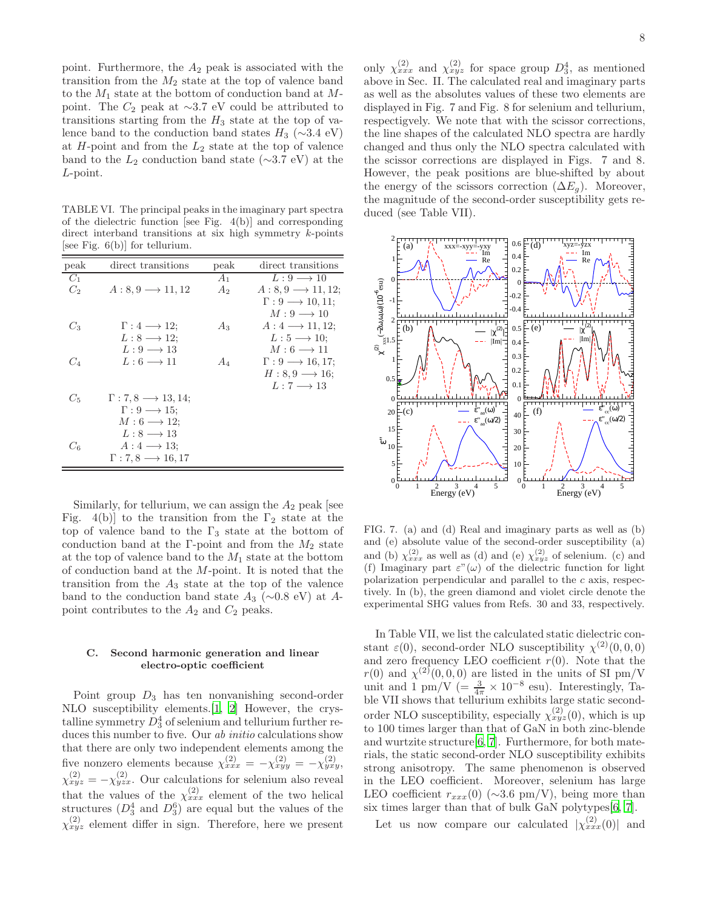point. Furthermore, the  $A_2$  peak is associated with the transition from the  $M_2$  state at the top of valence band to the  $M_1$  state at the bottom of conduction band at  $M$ point. The  $C_2$  peak at ∼3.7 eV could be attributed to transitions starting from the  $H_3$  state at the top of valence band to the conduction band states  $H_3$  (∼3.4 eV) at  $H$ -point and from the  $L_2$  state at the top of valence band to the  $L_2$  conduction band state (∼3.7 eV) at the L-point.

TABLE VI. The principal peaks in the imaginary part spectra of the dielectric function [see Fig. 4(b)] and corresponding direct interband transitions at six high symmetry  $k$ -points [see Fig. 6(b)] for tellurium.

| peak    | direct transitions                     | peak           | direct transitions                  |
|---------|----------------------------------------|----------------|-------------------------------------|
| $C_1$   |                                        | $A_1$          | $L: 9 \longrightarrow 10$           |
| $C_2$   | $A: 8, 9 \longrightarrow 11, 12$       | A <sub>2</sub> | $A: 8, 9 \longrightarrow 11, 12;$   |
|         |                                        |                | $\Gamma: 9 \longrightarrow 10, 11;$ |
|         |                                        |                | $M: 9 \longrightarrow 10$           |
| $C_3$   | $\Gamma: 4 \longrightarrow 12;$        | $A_3$          | $A: 4 \longrightarrow 11, 12;$      |
|         | $L: 8 \longrightarrow 12;$             |                | $L: 5 \longrightarrow 10$           |
|         | $L: 9 \longrightarrow 13$              |                | $M:6\longrightarrow 11$             |
| $C_{4}$ | $L: 6 \longrightarrow 11$              | $A_4$          | $\Gamma: 9 \longrightarrow 16, 17;$ |
|         |                                        |                | $H: 8, 9 \longrightarrow 16$        |
|         |                                        |                | $L:7\longrightarrow 13$             |
| $C_5$   | $\Gamma: 7, 8 \longrightarrow 13, 14;$ |                |                                     |
|         | $\Gamma: 9 \longrightarrow 15$ :       |                |                                     |
|         | $M: 6 \longrightarrow 12;$             |                |                                     |
|         | $L: 8 \longrightarrow 13$              |                |                                     |
| Св      | $A:4\longrightarrow 13$ :              |                |                                     |
|         | $\Gamma: 7, 8 \longrightarrow 16, 17$  |                |                                     |

Similarly, for tellurium, we can assign the  $A_2$  peak [see Fig. 4(b)] to the transition from the  $\Gamma_2$  state at the top of valence band to the  $\Gamma_3$  state at the bottom of conduction band at the Γ-point and from the  $M_2$  state at the top of valence band to the  $M_1$  state at the bottom of conduction band at the M-point. It is noted that the transition from the  $A_3$  state at the top of the valence band to the conduction band state  $A_3$  (∼0.8 eV) at Apoint contributes to the  $A_2$  and  $C_2$  peaks.

# C. Second harmonic generation and linear electro-optic coefficient

Point group  $D_3$  has ten nonvanishing second-order NLO susceptibility elements.[\[1,](#page-9-0) [2\]](#page-9-1) However, the crystalline symmetry  $D_3^4$  of selenium and tellurium further reduces this number to five. Our *ab initio* calculations show that there are only two independent elements among the five nonzero elements because  $\chi_{xxx}^{(2)} = -\chi_{xyy}^{(2)} = -\chi_{yxy}^{(2)}$  $\chi_{xyz}^{(2)} = -\chi_{yzx}^{(2)}$ . Our calculations for selenium also reveal that the values of the  $\chi_{xxx}^{(2)}$  element of the two helical structures  $(D_3^4$  and  $D_3^6)$  are equal but the values of the  $\chi_{xyz}^{(2)}$  element differ in sign. Therefore, here we present

only  $\chi_{xxx}^{(2)}$  and  $\chi_{xyz}^{(2)}$  for space group  $D_3^4$ , as mentioned above in Sec. II. The calculated real and imaginary parts as well as the absolutes values of these two elements are displayed in Fig. 7 and Fig. 8 for selenium and tellurium, respectigvely. We note that with the scissor corrections, the line shapes of the calculated NLO spectra are hardly changed and thus only the NLO spectra calculated with the scissor corrections are displayed in Figs. 7 and 8. However, the peak positions are blue-shifted by about the energy of the scissors correction  $(\Delta E_q)$ . Moreover, the magnitude of the second-order susceptibility gets reduced (see Table VII).



FIG. 7. (a) and (d) Real and imaginary parts as well as (b) and (e) absolute value of the second-order susceptibility (a) and (b)  $\chi_{xxx}^{(2)}$  as well as (d) and (e)  $\chi_{xyz}^{(2)}$  of selenium. (c) and (f) Imaginary part  $\varepsilon''(\omega)$  of the dielectric function for light polarization perpendicular and parallel to the c axis, respectively. In (b), the green diamond and violet circle denote the experimental SHG values from Refs. 30 and 33, respectively.

In Table VII, we list the calculated static dielectric constant  $\varepsilon(0)$ , second-order NLO susceptibility  $\chi^{(2)}(0,0,0)$ and zero frequency LEO coefficient  $r(0)$ . Note that the  $r(0)$  and  $\chi^{(2)}(0,0,0)$  are listed in the units of SI pm/V unit and 1 pm/V ( $=\frac{3}{4\pi} \times 10^{-8}$  esu). Interestingly, Table VII shows that tellurium exhibits large static secondorder NLO susceptibility, especially  $\chi_{xyz}^{(2)}(0)$ , which is up to 100 times larger than that of GaN in both zinc-blende and wurtzite structure[\[6,](#page-10-19) [7](#page-10-0)]. Furthermore, for both materials, the static second-order NLO susceptibility exhibits strong anisotropy. The same phenomenon is observed in the LEO coefficient. Moreover, selenium has large LEO coefficient  $r_{xxx}(0)$  (∼3.6 pm/V), being more than six times larger than that of bulk GaN polytypes[\[6,](#page-10-19) [7](#page-10-0)].

Let us now compare our calculated  $|\chi_{xxx}^{(2)}(0)|$  and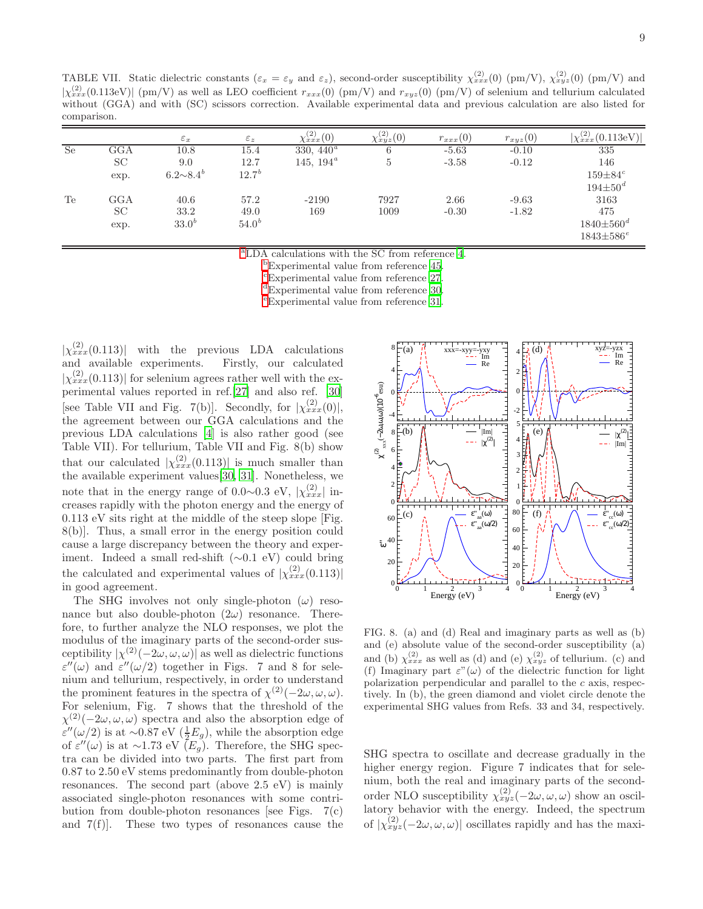TABLE VII. Static dielectric constants  $(\varepsilon_x = \varepsilon_y \text{ and } \varepsilon_z)$ , second-order susceptibility  $\chi_{xxx}^{(2)}(0)$  (pm/V),  $\chi_{xyz}^{(2)}(0)$  (pm/V) and  $|\chi_{xxx}^{(2)}(0.113\text{eV})|$  (pm/V) as well as LEO coefficient  $r_{xxx}(0)$  (pm/V) and  $r_{xyz}(0)$  (pm/V) of selenium and tellurium calculated without (GGA) and with (SC) scissors correction. Available experimental data and previous calculation are also listed for comparison.

|           |              | $\varepsilon_x$  | $\varepsilon_z$ | $\chi_{xxx}^{(2)}(0)$ | $\chi_{xyz}^{(2)}(0)$ | $r_{xxx}(0)$ | $r_{xyz}(0)$ | $ \chi_{xxx}^{(2)}(0.113eV) $ |
|-----------|--------------|------------------|-----------------|-----------------------|-----------------------|--------------|--------------|-------------------------------|
| <b>Se</b> | $_{\rm GGA}$ | $10.8\,$         | 15.4            | 330, $440^a$          | 6                     | $-5.63$      | $-0.10$      | 335                           |
|           | SC           | 9.0              | 12.7            | 145, $194^{\circ}$    | 5                     | $-3.58$      | $-0.12$      | 146                           |
|           | exp.         | $6.2 \sim 8.4^b$ | $12.7^{b}$      |                       |                       |              |              | $159 \pm 84^c$                |
|           |              |                  |                 |                       |                       |              |              | $194 \pm 50^d$                |
| Te        | $_{\rm GGA}$ | 40.6             | 57.2            | $-2190$               | 7927                  | 2.66         | $-9.63$      | 3163                          |
|           | SC           | 33.2             | 49.0            | 169                   | 1009                  | $-0.30$      | $-1.82$      | 475                           |
|           | exp.         | $33.0^{b}$       | $54.0^{b}$      |                       |                       |              |              | $1840 \pm 560^{\circ}$        |
|           |              |                  |                 |                       |                       |              |              | $1843\pm586e^$                |

<sup>a</sup>LDA calculations with the SC from reference [4.](#page-9-2)

<sup>b</sup>Experimental value from reference [45](#page-11-0).

<sup>c</sup>Experimental value from reference [27](#page-10-16).

<sup>d</sup>Experimental value from reference [30](#page-10-18).

<sup>e</sup>Experimental value from reference [31](#page-10-17).

 $|\chi^{(2)}_{xxx}(0.113)|$  with the previous LDA calculations and available experiments. Firstly, our calculated  $|\chi_{xxx}^{(2)}(0.113)|$  for selenium agrees rather well with the experimental values reported in ref.[\[27](#page-10-16)] and also ref. [\[30](#page-10-18)] [see Table VII and Fig. 7(b)]. Secondly, for  $|\chi_{xxx}^{(2)}(0)|$ , the agreement between our GGA calculations and the previous LDA calculations [\[4\]](#page-9-2) is also rather good (see Table VII). For tellurium, Table VII and Fig. 8(b) show that our calculated  $|\chi_{xxx}^{(2)}(0.113)|$  is much smaller than the available experiment values[\[30,](#page-10-18) [31\]](#page-10-17). Nonetheless, we note that in the energy range of 0.0∼0.3 eV,  $|\chi_{xxx}^{(2)}|$  increases rapidly with the photon energy and the energy of 0.113 eV sits right at the middle of the steep slope [Fig. 8(b)]. Thus, a small error in the energy position could cause a large discrepancy between the theory and experiment. Indeed a small red-shift (∼0.1 eV) could bring the calculated and experimental values of  $|\chi^{(2)}_{xxx}(0.113)|$ in good agreement.

The SHG involves not only single-photon  $(\omega)$  resonance but also double-photon  $(2\omega)$  resonance. Therefore, to further analyze the NLO responses, we plot the modulus of the imaginary parts of the second-order susceptibility  $|\chi^{(2)}(-2\omega,\omega,\omega)|$  as well as dielectric functions  $\varepsilon''(\omega)$  and  $\varepsilon''(\omega/2)$  together in Figs. 7 and 8 for selenium and tellurium, respectively, in order to understand the prominent features in the spectra of  $\chi^{(2)}(-2\omega,\omega,\omega)$ . For selenium, Fig. 7 shows that the threshold of the  $\chi^{(2)}(-2\omega,\omega,\omega)$  spectra and also the absorption edge of ε"(ω/2) is at ~0.87 eV ( $\frac{1}{2}E_g$ ), while the absorption edge of  $\varepsilon''(\omega)$  is at ~1.73 eV  $(E_g)$ . Therefore, the SHG spectra can be divided into two parts. The first part from 0.87 to 2.50 eV stems predominantly from double-photon resonances. The second part (above 2.5 eV) is mainly associated single-photon resonances with some contribution from double-photon resonances [see Figs.  $7(c)$ ] and 7(f)]. These two types of resonances cause the



FIG. 8. (a) and (d) Real and imaginary parts as well as (b) and (e) absolute value of the second-order susceptibility (a) and (b)  $\chi_{xxx}^{(2)}$  as well as (d) and (e)  $\chi_{xyz}^{(2)}$  of tellurium. (c) and (f) Imaginary part  $\varepsilon''(\omega)$  of the dielectric function for light polarization perpendicular and parallel to the  $c$  axis, respectively. In (b), the green diamond and violet circle denote the experimental SHG values from Refs. 33 and 34, respectively.

SHG spectra to oscillate and decrease gradually in the higher energy region. Figure 7 indicates that for selenium, both the real and imaginary parts of the secondorder NLO susceptibility  $\chi_{xyz}^{(2)}(-2\omega,\omega,\omega)$  show an oscillatory behavior with the energy. Indeed, the spectrum of  $|\chi_{xyz}^{(2)}(-2\omega,\omega,\omega)|$  oscillates rapidly and has the maxi-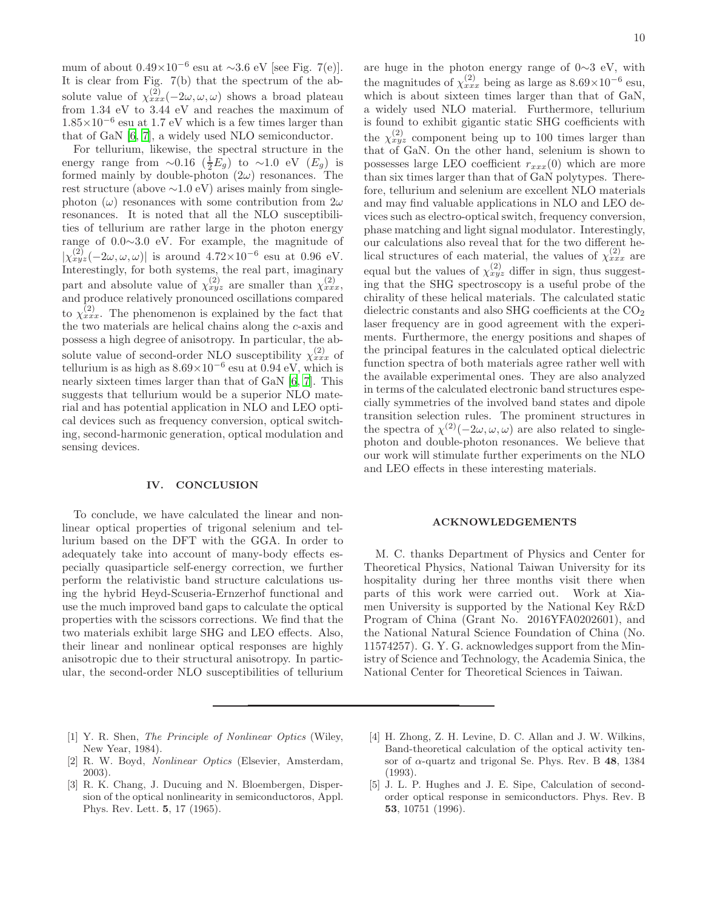mum of about  $0.49 \times 10^{-6}$  esu at ~3.6 eV [see Fig. 7(e)]. It is clear from Fig. 7(b) that the spectrum of the absolute value of  $\chi_{xxx}^{(2)}(-2\omega,\omega,\omega)$  shows a broad plateau from 1.34 eV to 3.44 eV and reaches the maximum of  $1.85\times10^{-6}$  esu at 1.7 eV which is a few times larger than that of GaN [\[6](#page-10-19), [7](#page-10-0)], a widely used NLO semiconductor.

For tellurium, likewise, the spectral structure in the energy range from ∼0.16  $(\frac{1}{2}E_g)$  to ∼1.0 eV  $(E_g)$  is formed mainly by double-photon  $(2\omega)$  resonances. The rest structure (above ∼1.0 eV) arises mainly from singlephoton  $(\omega)$  resonances with some contribution from  $2\omega$ resonances. It is noted that all the NLO susceptibilities of tellurium are rather large in the photon energy range of 0.0∼3.0 eV. For example, the magnitude of  $|\chi_{xyz}^{(2)}(-2\omega,\omega,\omega)|$  is around  $4.72\times10^{-6}$  esu at 0.96 eV. Interestingly, for both systems, the real part, imaginary part and absolute value of  $\chi_{xyz}^{(2)}$  are smaller than  $\chi_{xxx}^{(2)}$ , and produce relatively pronounced oscillations compared to  $\chi^{(2)}_{xxx}$ . The phenomenon is explained by the fact that the two materials are helical chains along the c-axis and possess a high degree of anisotropy. In particular, the absolute value of second-order NLO susceptibility  $\chi_{xxx}^{(2)}$  of tellurium is as high as  $8.69 \times 10^{-6}$  esu at  $0.94 \text{ eV}$ , which is nearly sixteen times larger than that of GaN [\[6,](#page-10-19) [7\]](#page-10-0). This suggests that tellurium would be a superior NLO material and has potential application in NLO and LEO optical devices such as frequency conversion, optical switching, second-harmonic generation, optical modulation and sensing devices.

### IV. CONCLUSION

To conclude, we have calculated the linear and nonlinear optical properties of trigonal selenium and tellurium based on the DFT with the GGA. In order to adequately take into account of many-body effects especially quasiparticle self-energy correction, we further perform the relativistic band structure calculations using the hybrid Heyd-Scuseria-Ernzerhof functional and use the much improved band gaps to calculate the optical properties with the scissors corrections. We find that the two materials exhibit large SHG and LEO effects. Also, their linear and nonlinear optical responses are highly anisotropic due to their structural anisotropy. In particular, the second-order NLO susceptibilities of tellurium

are huge in the photon energy range of 0∼3 eV, with the magnitudes of  $\chi_{xxx}^{(2)}$  being as large as  $8.69 \times 10^{-6}$  esu, which is about sixteen times larger than that of GaN, a widely used NLO material. Furthermore, tellurium is found to exhibit gigantic static SHG coefficients with the  $\chi_{xyz}^{(2)}$  component being up to 100 times larger than that of GaN. On the other hand, selenium is shown to possesses large LEO coefficient  $r_{xxx}(0)$  which are more than six times larger than that of GaN polytypes. Therefore, tellurium and selenium are excellent NLO materials and may find valuable applications in NLO and LEO devices such as electro-optical switch, frequency conversion, phase matching and light signal modulator. Interestingly, our calculations also reveal that for the two different helical structures of each material, the values of  $\chi_{xxx}^{(2)}$  are equal but the values of  $\chi_{xyz}^{(2)}$  differ in sign, thus suggesting that the SHG spectroscopy is a useful probe of the chirality of these helical materials. The calculated static dielectric constants and also SHG coefficients at the  $CO<sub>2</sub>$ laser frequency are in good agreement with the experiments. Furthermore, the energy positions and shapes of the principal features in the calculated optical dielectric function spectra of both materials agree rather well with the available experimental ones. They are also analyzed in terms of the calculated electronic band structures especially symmetries of the involved band states and dipole transition selection rules. The prominent structures in the spectra of  $\chi^{(2)}(-2\omega,\omega,\omega)$  are also related to singlephoton and double-photon resonances. We believe that our work will stimulate further experiments on the NLO and LEO effects in these interesting materials.

#### ACKNOWLEDGEMENTS

M. C. thanks Department of Physics and Center for Theoretical Physics, National Taiwan University for its hospitality during her three months visit there when parts of this work were carried out. Work at Xiamen University is supported by the National Key R&D Program of China (Grant No. 2016YFA0202601), and the National Natural Science Foundation of China (No. 11574257). G. Y. G. acknowledges support from the Ministry of Science and Technology, the Academia Sinica, the National Center for Theoretical Sciences in Taiwan.

- <span id="page-9-0"></span>[1] Y. R. Shen, *The Principle of Nonlinear Optics* (Wiley, New Year, 1984).
- <span id="page-9-1"></span>[2] R. W. Boyd, Nonlinear Optics (Elsevier, Amsterdam, 2003).
- [3] R. K. Chang, J. Ducuing and N. Bloembergen, Dispersion of the optical nonlinearity in semiconductoros, Appl. Phys. Rev. Lett. 5, 17 (1965).
- <span id="page-9-2"></span>[4] H. Zhong, Z. H. Levine, D. C. Allan and J. W. Wilkins, Band-theoretical calculation of the optical activity tensor of  $\alpha$ -quartz and trigonal Se. Phys. Rev. B 48, 1384 (1993).
- <span id="page-9-3"></span>[5] J. L. P. Hughes and J. E. Sipe, Calculation of secondorder optical response in semiconductors. Phys. Rev. B 53, 10751 (1996).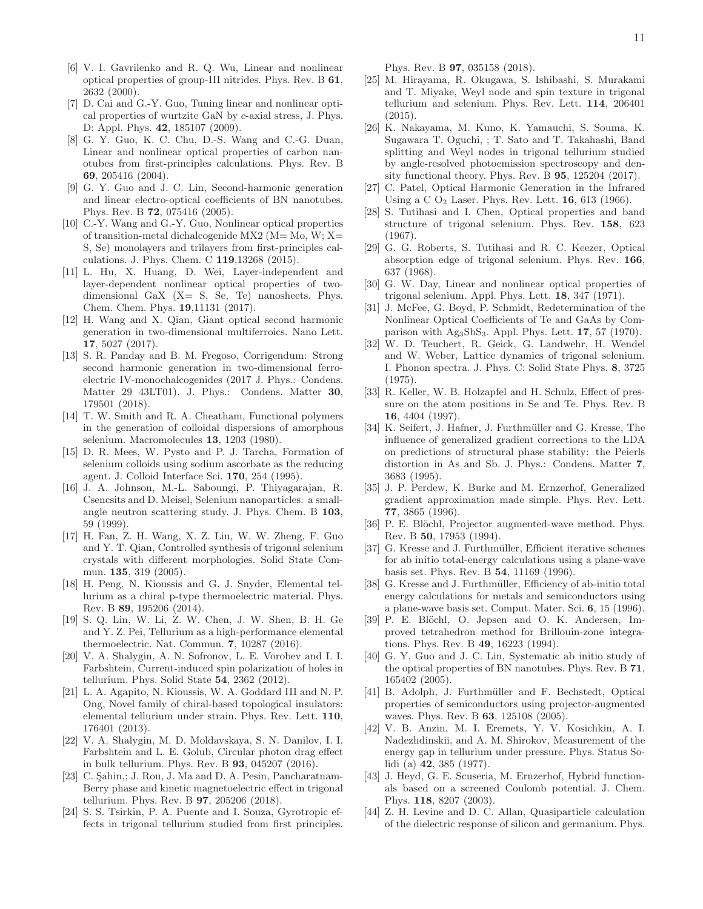- <span id="page-10-19"></span>[6] V. I. Gavrilenko and R. Q. Wu, Linear and nonlinear optical properties of group-III nitrides. Phys. Rev. B 61, 2632 (2000).
- <span id="page-10-0"></span>[7] D. Cai and G.-Y. Guo, Tuning linear and nonlinear optical properties of wurtzite GaN by c-axial stress, J. Phys. D: Appl. Phys. 42, 185107 (2009).
- <span id="page-10-1"></span>[8] G. Y. Guo, K. C. Chu, D.-S. Wang and C.-G. Duan, Linear and nonlinear optical properties of carbon nanotubes from first-principles calculations. Phys. Rev. B 69, 205416 (2004).
- <span id="page-10-2"></span>[9] G. Y. Guo and J. C. Lin, Second-harmonic generation and linear electro-optical coefficients of BN nanotubes. Phys. Rev. B 72, 075416 (2005).
- <span id="page-10-3"></span>[10] C.-Y. Wang and G.-Y. Guo, Nonlinear optical properties of transition-metal dichalcogenide MX2 ( $M = Mo$ ,  $W$ ;  $X=$ S, Se) monolayers and trilayers from first-principles calculations. J. Phys. Chem. C 119,13268 (2015).
- [11] L. Hu, X. Huang, D. Wei, Layer-independent and layer-dependent nonlinear optical properties of twodimensional GaX (X= S, Se, Te) nanosheets. Phys. Chem. Chem. Phys. 19,11131 (2017).
- [12] H. Wang and X. Qian, Giant optical second harmonic generation in two-dimensional multiferroics. Nano Lett. 17, 5027 (2017).
- <span id="page-10-4"></span>[13] S. R. Panday and B. M. Fregoso, Corrigendum: Strong second harmonic generation in two-dimensional ferroelectric IV-monochalcogenides (2017 J. Phys.: Condens. Matter 29 43LT01). J. Phys.: Condens. Matter 30, 179501 (2018).
- <span id="page-10-5"></span>[14] T. W. Smith and R. A. Cheatham, Functional polymers in the generation of colloidal dispersions of amorphous selenium. Macromolecules 13, 1203 (1980).
- [15] D. R. Mees, W. Pysto and P. J. Tarcha, Formation of selenium colloids using sodium ascorbate as the reducing agent. J. Colloid Interface Sci. 170, 254 (1995).
- [16] J. A. Johnson, M.-L. Saboungi, P. Thiyagarajan, R. Csencsits and D. Meisel, Selenium nanoparticles: a smallangle neutron scattering study. J. Phys. Chem. B 103, 59 (1999).
- <span id="page-10-6"></span>[17] H. Fan, Z. H. Wang, X. Z. Liu, W. W. Zheng, F. Guo and Y. T. Qian, Controlled synthesis of trigonal selenium crystals with different morphologies. Solid State Commun. 135, 319 (2005).
- <span id="page-10-7"></span>[18] H. Peng, N. Kioussis and G. J. Snyder, Elemental tellurium as a chiral p-type thermoelectric material. Phys. Rev. B 89, 195206 (2014).
- <span id="page-10-8"></span>[19] S. Q. Lin, W. Li, Z. W. Chen, J. W. Shen, B. H. Ge and Y. Z. Pei, Tellurium as a high-performance elemental thermoelectric. Nat. Commun. 7, 10287 (2016).
- <span id="page-10-9"></span>[20] V. A. Shalygin, A. N. Sofronov, L. E. Vorobev and I. I. Farbshtein, Current-induced spin polarization of holes in tellurium. Phys. Solid State 54, 2362 (2012).
- <span id="page-10-10"></span>[21] L. A. Agapito, N. Kioussis, W. A. Goddard III and N. P. Ong, Novel family of chiral-based topological insulators: elemental tellurium under strain. Phys. Rev. Lett. 110, 176401 (2013).
- <span id="page-10-11"></span>[22] V. A. Shalygin, M. D. Moldavskaya, S. N. Danilov, I. I. Farbshtein and L. E. Golub, Circular photon drag effect in bulk tellurium. Phys. Rev. B 93, 045207 (2016).
- <span id="page-10-12"></span>[23] C. Sahin,; J. Rou, J. Ma and D. A. Pesin, Pancharatnam-Berry phase and kinetic magnetoelectric effect in trigonal tellurium. Phys. Rev. B 97, 205206 (2018).
- <span id="page-10-13"></span>[24] S. S. Tsirkin, P. A. Puente and I. Souza, Gyrotropic effects in trigonal tellurium studied from first principles.

Phys. Rev. B 97, 035158 (2018).

- <span id="page-10-14"></span>[25] M. Hirayama, R. Okugawa, S. Ishibashi, S. Murakami and T. Miyake, Weyl node and spin texture in trigonal tellurium and selenium. Phys. Rev. Lett. 114, 206401 (2015).
- <span id="page-10-15"></span>[26] K. Nakayama, M. Kuno, K. Yamauchi, S. Souma, K. Sugawara T. Oguchi, ; T. Sato and T. Takahashi, Band splitting and Weyl nodes in trigonal tellurium studied by angle-resolved photoemission spectroscopy and density functional theory. Phys. Rev. B 95, 125204 (2017).
- <span id="page-10-16"></span>[27] C. Patel, Optical Harmonic Generation in the Infrared Using a C  $O_2$  Laser. Phys. Rev. Lett. **16**, 613 (1966).
- <span id="page-10-32"></span>[28] S. Tutihasi and I. Chen, Optical properties and band structure of trigonal selenium. Phys. Rev. 158, 623 (1967).
- <span id="page-10-34"></span>[29] G. G. Roberts, S. Tutihasi and R. C. Keezer, Optical absorption edge of trigonal selenium. Phys. Rev. 166, 637 (1968).
- <span id="page-10-18"></span>[30] G. W. Day, Linear and nonlinear optical properties of trigonal selenium. Appl. Phys. Lett. 18, 347 (1971).
- <span id="page-10-17"></span>[31] J. McFee, G. Boyd, P. Schmidt, Redetermination of the Nonlinear Optical Coefficients of Te and GaAs by Comparison with  $Ag_3SbS_3$ . Appl. Phys. Lett. 17, 57 (1970).
- <span id="page-10-20"></span>[32] W. D. Teuchert, R. Geick, G. Landwehr, H. Wendel and W. Weber, Lattice dynamics of trigonal selenium. I. Phonon spectra. J. Phys. C: Solid State Phys. 8, 3725 (1975).
- <span id="page-10-21"></span>[33] R. Keller, W. B. Holzapfel and H. Schulz, Effect of pressure on the atom positions in Se and Te. Phys. Rev. B 16, 4404 (1997).
- <span id="page-10-22"></span>[34] K. Seifert, J. Hafner, J. Furthmüller and G. Kresse, The influence of generalized gradient corrections to the LDA on predictions of structural phase stability: the Peierls distortion in As and Sb. J. Phys.: Condens. Matter 7, 3683 (1995).
- <span id="page-10-23"></span>[35] J. P. Perdew, K. Burke and M. Ernzerhof, Generalized gradient approximation made simple. Phys. Rev. Lett. 77, 3865 (1996).
- <span id="page-10-24"></span>[36] P. E. Blöchl, Projector augmented-wave method. Phys. Rev. B 50, 17953 (1994).
- <span id="page-10-25"></span>[37] G. Kresse and J. Furthmüller, Efficient iterative schemes for ab initio total-energy calculations using a plane-wave basis set. Phys. Rev. B 54, 11169 (1996).
- <span id="page-10-26"></span>[38] G. Kresse and J. Furthmüller, Efficiency of ab-initio total energy calculations for metals and semiconductors using a plane-wave basis set. Comput. Mater. Sci. 6, 15 (1996).
- <span id="page-10-27"></span>[39] P. E. Blöchl, O. Jepsen and O. K. Andersen, Improved tetrahedron method for Brillouin-zone integrations. Phys. Rev. B 49, 16223 (1994).
- <span id="page-10-28"></span>[40] G. Y. Guo and J. C. Lin, Systematic ab initio study of the optical properties of BN nanotubes. Phys. Rev. B 71, 165402 (2005).
- <span id="page-10-29"></span>[41] B. Adolph, J. Furthmüller and F. Bechstedt, Optical properties of semiconductors using projector-augmented waves. Phys. Rev. B 63, 125108 (2005).
- <span id="page-10-33"></span>[42] V. B. Anzin, M. I. Eremets, Y. V. Kosichkin, A. I. Nadezhdinskii, and A. M. Shirokov, Measurement of the energy gap in tellurium under pressure. Phys. Status Solidi (a) 42, 385 (1977).
- <span id="page-10-30"></span>[43] J. Heyd, G. E. Scuseria, M. Ernzerhof, Hybrid functionals based on a screened Coulomb potential. J. Chem. Phys. 118, 8207 (2003).
- <span id="page-10-31"></span>[44] Z. H. Levine and D. C. Allan, Quasiparticle calculation of the dielectric response of silicon and germanium. Phys.